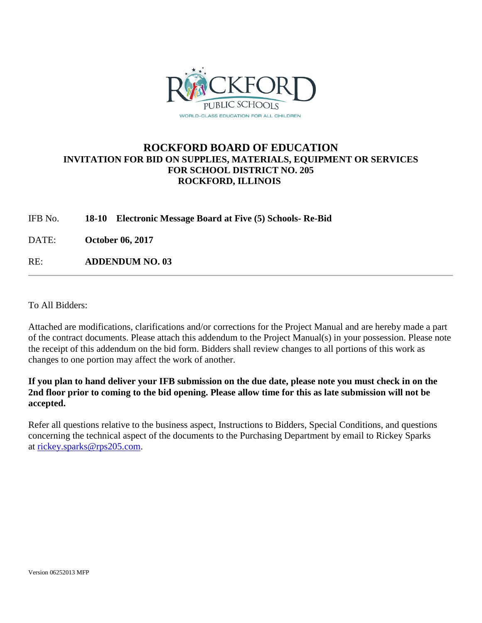

## **ROCKFORD BOARD OF EDUCATION INVITATION FOR BID ON SUPPLIES, MATERIALS, EQUIPMENT OR SERVICES FOR SCHOOL DISTRICT NO. 205 ROCKFORD, ILLINOIS**

IFB No. **18-10 Electronic Message Board at Five (5) Schools- Re-Bid**

DATE: **October 06, 2017**

RE: **ADDENDUM NO. 03**

To All Bidders:

Attached are modifications, clarifications and/or corrections for the Project Manual and are hereby made a part of the contract documents. Please attach this addendum to the Project Manual(s) in your possession. Please note the receipt of this addendum on the bid form. Bidders shall review changes to all portions of this work as changes to one portion may affect the work of another.

**If you plan to hand deliver your IFB submission on the due date, please note you must check in on the 2nd floor prior to coming to the bid opening. Please allow time for this as late submission will not be accepted.**

Refer all questions relative to the business aspect, Instructions to Bidders, Special Conditions, and questions concerning the technical aspect of the documents to the Purchasing Department by email to Rickey Sparks at [rickey.sparks@rps205.com.](mailto:rickey.sparks@rps205.com)